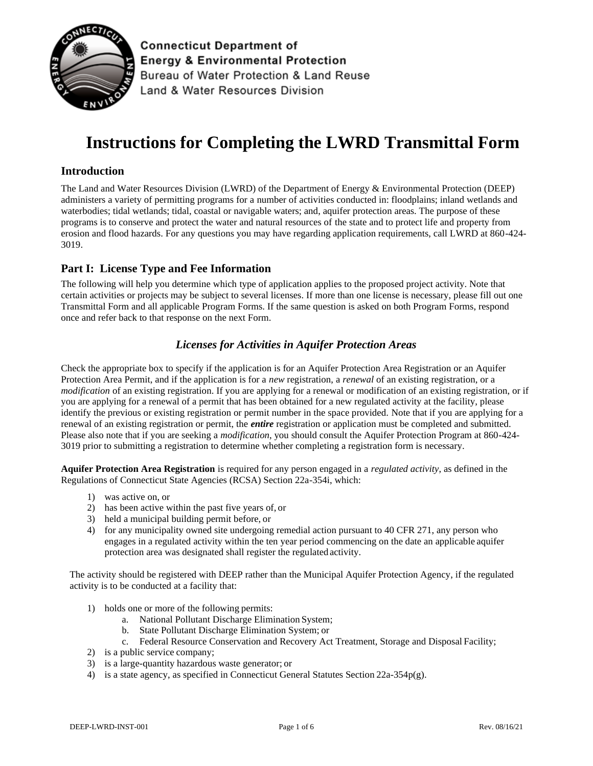

**Connecticut Department of Energy & Environmental Protection** Bureau of Water Protection & Land Reuse Land & Water Resources Division

# **Instructions for Completing the LWRD Transmittal Form**

# **Introduction**

The Land and Water Resources Division (LWRD) of the Department of Energy & Environmental Protection (DEEP) administers a variety of permitting programs for a number of activities conducted in: floodplains; inland wetlands and waterbodies; tidal wetlands; tidal, coastal or navigable waters; and, aquifer protection areas. The purpose of these programs is to conserve and protect the water and natural resources of the state and to protect life and property from erosion and flood hazards. For any questions you may have regarding application requirements, call LWRD at 860-424- 3019.

# **Part I: License Type and Fee Information**

The following will help you determine which type of application applies to the proposed project activity. Note that certain activities or projects may be subject to several licenses. If more than one license is necessary, please fill out one Transmittal Form and all applicable Program Forms. If the same question is asked on both Program Forms, respond once and refer back to that response on the next Form.

# *Licenses for Activities in Aquifer Protection Areas*

Check the appropriate box to specify if the application is for an Aquifer Protection Area Registration or an Aquifer Protection Area Permit, and if the application is for a *new* registration, a *renewal* of an existing registration, or a *modification* of an existing registration. If you are applying for a renewal or modification of an existing registration, or if you are applying for a renewal of a permit that has been obtained for a new regulated activity at the facility, please identify the previous or existing registration or permit number in the space provided. Note that if you are applying for a renewal of an existing registration or permit, the *entire* registration or application must be completed and submitted. Please also note that if you are seeking a *modification*, you should consult the Aquifer Protection Program at 860-424- 3019 prior to submitting a registration to determine whether completing a registration form is necessary.

**Aquifer Protection Area Registration** is required for any person engaged in a *regulated activity*, as defined in the Regulations of Connecticut State Agencies (RCSA) Section 22a-354i, which:

- 1) was active on, or
- 2) has been active within the past five years of, or
- 3) held a municipal building permit before, or
- 4) for any municipality owned site undergoing remedial action pursuant to 40 CFR 271, any person who engages in a regulated activity within the ten year period commencing on the date an applicable aquifer protection area was designated shall register the regulated activity.

The activity should be registered with DEEP rather than the Municipal Aquifer Protection Agency, if the regulated activity is to be conducted at a facility that:

- 1) holds one or more of the following permits:
	- a. National Pollutant Discharge Elimination System;
	- b. State Pollutant Discharge Elimination System; or
	- c. Federal Resource Conservation and Recovery Act Treatment, Storage and Disposal Facility;
- 2) is a public service company;
- 3) is a large-quantity hazardous waste generator; or
- 4) is a state agency, as specified in Connecticut General Statutes Section 22a-354p(g).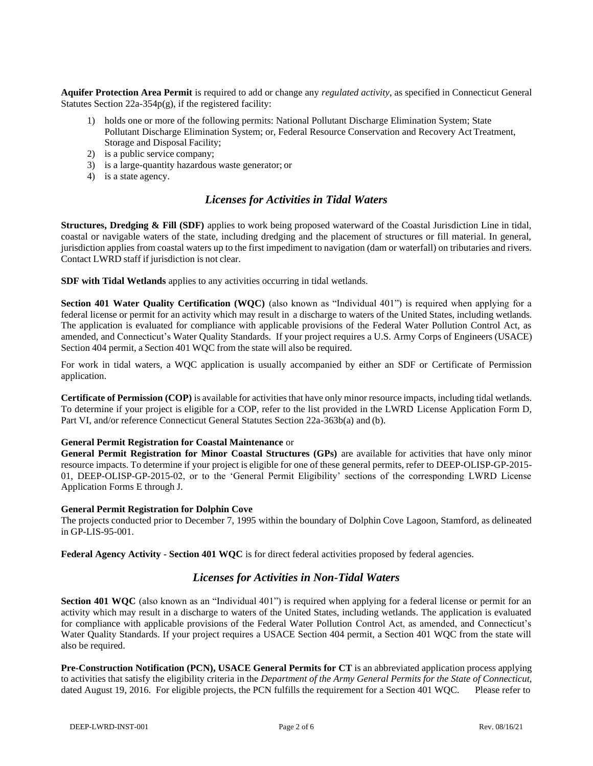**Aquifer Protection Area Permit** is required to add or change any *regulated activity*, as specified in Connecticut General Statutes Section 22a-354p(g), if the registered facility:

- 1) holds one or more of the following permits: National Pollutant Discharge Elimination System; State Pollutant Discharge Elimination System; or, Federal Resource Conservation and Recovery Act Treatment, Storage and Disposal Facility;
- 2) is a public service company;
- 3) is a large-quantity hazardous waste generator; or
- 4) is a state agency.

# *Licenses for Activities in Tidal Waters*

**Structures, Dredging & Fill (SDF)** applies to work being proposed waterward of the Coastal Jurisdiction Line in tidal, coastal or navigable waters of the state, including dredging and the placement of structures or fill material. In general, jurisdiction applies from coastal waters up to the first impediment to navigation (dam or waterfall) on tributaries and rivers. Contact LWRD staff if jurisdiction is not clear.

**SDF with Tidal Wetlands** applies to any activities occurring in tidal wetlands.

**Section 401 Water Quality Certification (WQC)** (also known as "Individual 401") is required when applying for a federal license or permit for an activity which may result in a discharge to waters of the United States, including wetlands. The application is evaluated for compliance with applicable provisions of the Federal Water Pollution Control Act, as amended, and Connecticut's Water Quality Standards. If your project requires a U.S. Army Corps of Engineers (USACE) Section 404 permit, a Section 401 WQC from the state will also be required.

For work in tidal waters, a WQC application is usually accompanied by either an SDF or Certificate of Permission application.

**Certificate of Permission (COP)** is available for activitiesthat have only minor resource impacts, including tidal wetlands. To determine if your project is eligible for a COP, refer to the list provided in the LWRD License Application Form D, Part VI, and/or reference Connecticut General Statutes Section 22a-363b(a) and (b).

#### **General Permit Registration for Coastal Maintenance** or

**General Permit Registration for Minor Coastal Structures (GPs)** are available for activities that have only minor resource impacts. To determine if your project is eligible for one of these general permits, refer to DEEP-OLISP-GP-2015- 01, DEEP-OLISP-GP-2015-02, or to the 'General Permit Eligibility' sections of the corresponding LWRD License Application Forms E through J.

#### **General Permit Registration for Dolphin Cove**

The projects conducted prior to December 7, 1995 within the boundary of Dolphin Cove Lagoon, Stamford, as delineated in GP-LIS-95-001.

**Federal Agency Activity - Section 401 WQC** is for direct federal activities proposed by federal agencies.

## *Licenses for Activities in Non-Tidal Waters*

**Section 401 WQC** (also known as an "Individual 401") is required when applying for a federal license or permit for an activity which may result in a discharge to waters of the United States, including wetlands. The application is evaluated for compliance with applicable provisions of the Federal Water Pollution Control Act, as amended, and Connecticut's Water Quality Standards. If your project requires a USACE Section 404 permit, a Section 401 WQC from the state will also be required.

**Pre-Construction Notification (PCN), USACE General Permits for CT** is an abbreviated application process applying to activities that satisfy the eligibility criteria in the *Department of the Army General Permits for the State of Connecticut*, dated August 19, 2016. For eligible projects, the PCN fulfills the requirement for a Section 401 WQC. Please refer to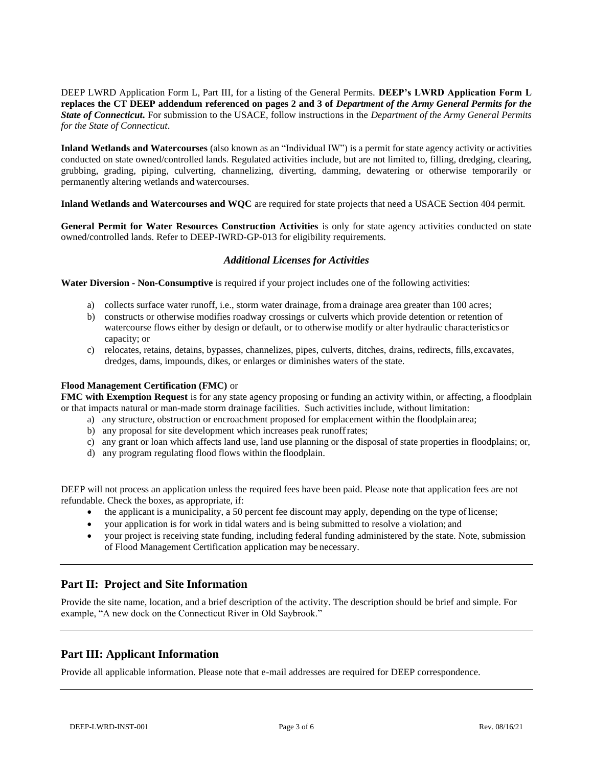DEEP LWRD Application Form L, Part III, for a listing of the General Permits. **DEEP's LWRD Application Form L replaces the CT DEEP addendum referenced on pages 2 and 3 of** *Department of the Army General Permits for the State of Connecticut***.** For submission to the USACE, follow instructions in the *Department of the Army General Permits for the State of Connecticut*.

**Inland Wetlands and Watercourses** (also known as an "Individual IW") is a permit for state agency activity or activities conducted on state owned/controlled lands. Regulated activities include, but are not limited to, filling, dredging, clearing, grubbing, grading, piping, culverting, channelizing, diverting, damming, dewatering or otherwise temporarily or permanently altering wetlands and watercourses.

**Inland Wetlands and Watercourses and WQC** are required for state projects that need a USACE Section 404 permit.

**General Permit for Water Resources Construction Activities** is only for state agency activities conducted on state owned/controlled lands. Refer to DEEP-IWRD-GP-013 for eligibility requirements.

## *Additional Licenses for Activities*

**Water Diversion - Non-Consumptive** is required if your project includes one of the following activities:

- a) collects surface water runoff, i.e., storm water drainage, froma drainage area greater than 100 acres;
- b) constructs or otherwise modifies roadway crossings or culverts which provide detention or retention of watercourse flows either by design or default, or to otherwise modify or alter hydraulic characteristicsor capacity; or
- c) relocates, retains, detains, bypasses, channelizes, pipes, culverts, ditches, drains, redirects, fills, excavates, dredges, dams, impounds, dikes, or enlarges or diminishes waters of the state.

#### **Flood Management Certification (FMC)** or

**FMC with Exemption Request** is for any state agency proposing or funding an activity within, or affecting, a floodplain or that impacts natural or man-made storm drainage facilities. Such activities include, without limitation:

- a) any structure, obstruction or encroachment proposed for emplacement within the floodplain area;
- b) any proposal for site development which increases peak runoffrates;
- c) any grant or loan which affects land use, land use planning or the disposal of state properties in floodplains; or,
- d) any program regulating flood flows within the floodplain.

DEEP will not process an application unless the required fees have been paid. Please note that application fees are not refundable. Check the boxes, as appropriate, if:

- $\bullet$  the applicant is a municipality, a 50 percent fee discount may apply, depending on the type of license;
- your application is for work in tidal waters and is being submitted to resolve a violation; and
- your project is receiving state funding, including federal funding administered by the state. Note, submission of Flood Management Certification application may be necessary.

## **Part II: Project and Site Information**

Provide the site name, location, and a brief description of the activity. The description should be brief and simple. For example, "A new dock on the Connecticut River in Old Saybrook."

## **Part III: Applicant Information**

Provide all applicable information. Please note that e-mail addresses are required for DEEP correspondence.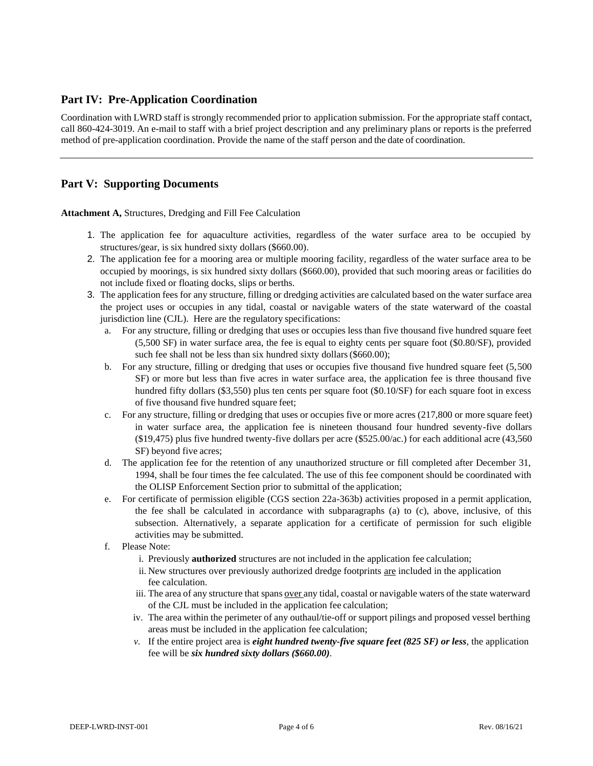## **Part IV: Pre-Application Coordination**

Coordination with LWRD staff is strongly recommended prior to application submission. For the appropriate staff contact, call 860-424-3019. An e-mail to staff with a brief project description and any preliminary plans or reports is the preferred method of pre-application coordination. Provide the name of the staff person and the date of coordination.

## **Part V: Supporting Documents**

**Attachment A,** Structures, Dredging and Fill Fee Calculation

- 1. The application fee for aquaculture activities, regardless of the water surface area to be occupied by structures/gear, is six hundred sixty dollars (\$660.00).
- 2. The application fee for a mooring area or multiple mooring facility, regardless of the water surface area to be occupied by moorings, is six hundred sixty dollars (\$660.00), provided that such mooring areas or facilities do not include fixed or floating docks, slips or berths.
- 3. The application fees for any structure, filling or dredging activities are calculated based on the water surface area the project uses or occupies in any tidal, coastal or navigable waters of the state waterward of the coastal jurisdiction line (CJL). Here are the regulatory specifications:
	- a. For any structure, filling or dredging that uses or occupies less than five thousand five hundred square feet (5,500 SF) in water surface area, the fee is equal to eighty cents per square foot (\$0.80/SF), provided such fee shall not be less than six hundred sixty dollars (\$660.00);
	- b. For any structure, filling or dredging that uses or occupies five thousand five hundred square feet (5,500 SF) or more but less than five acres in water surface area, the application fee is three thousand five hundred fifty dollars (\$3,550) plus ten cents per square foot (\$0.10/SF) for each square foot in excess of five thousand five hundred square feet;
	- c. For any structure, filling or dredging that uses or occupies five or more acres (217,800 or more square feet) in water surface area, the application fee is nineteen thousand four hundred seventy-five dollars (\$19,475) plus five hundred twenty-five dollars per acre (\$525.00/ac.) for each additional acre (43,560 SF) beyond five acres;
	- d. The application fee for the retention of any unauthorized structure or fill completed after December 31, 1994, shall be four times the fee calculated. The use of this fee component should be coordinated with the OLISP Enforcement Section prior to submittal of the application;
	- e. For certificate of permission eligible (CGS section 22a-363b) activities proposed in a permit application, the fee shall be calculated in accordance with subparagraphs (a) to (c), above, inclusive, of this subsection. Alternatively, a separate application for a certificate of permission for such eligible activities may be submitted.
	- f. Please Note:
		- i. Previously **authorized** structures are not included in the application fee calculation;
		- ii. New structures over previously authorized dredge footprints are included in the application fee calculation.
		- iii. The area of any structure that spans over any tidal, coastal or navigable waters of the state waterward of the CJL must be included in the application fee calculation;
		- iv. The area within the perimeter of any outhaul/tie-off or support pilings and proposed vessel berthing areas must be included in the application fee calculation;
		- *v.* If the entire project area is *eight hundred twenty-five square feet (825 SF) or less*, the application fee will be *six hundred sixty dollars (\$660.00).*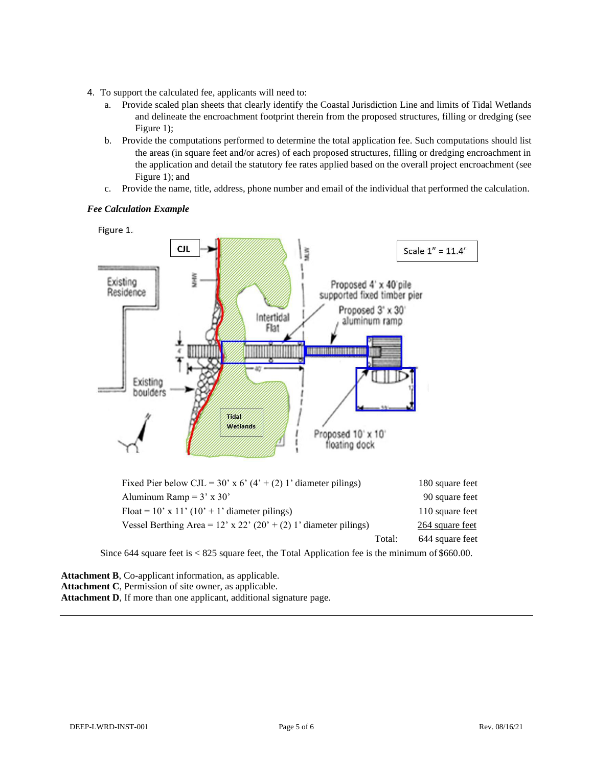- 4. To support the calculated fee, applicants will need to:
	- a. Provide scaled plan sheets that clearly identify the Coastal Jurisdiction Line and limits of Tidal Wetlands and delineate the encroachment footprint therein from the proposed structures, filling or dredging (see Figure 1);
	- b. Provide the computations performed to determine the total application fee. Such computations should list the areas (in square feet and/or acres) of each proposed structures, filling or dredging encroachment in the application and detail the statutory fee rates applied based on the overall project encroachment (see Figure 1); and
	- c. Provide the name, title, address, phone number and email of the individual that performed the calculation.

### *Fee Calculation Example*

Figure 1.



| Fixed Pier below CJL = 30' x 6' (4' + (2) 1' diameter pilings)     |        | 180 square feet |
|--------------------------------------------------------------------|--------|-----------------|
| Aluminum Ramp = $3'$ x $30'$                                       |        | 90 square feet  |
| Float = $10'$ x $11'$ ( $10'$ + 1' diameter pilings)               |        | 110 square feet |
| Vessel Berthing Area = $12'$ x 22' (20' + (2) 1' diameter pilings) |        | 264 square feet |
|                                                                    | Total: | 644 square feet |

Since 644 square feet is < 825 square feet, the Total Application fee is the minimum of \$660.00.

**Attachment B**, Co-applicant information, as applicable. **Attachment C**, Permission of site owner, as applicable. **Attachment D**, If more than one applicant, additional signature page.